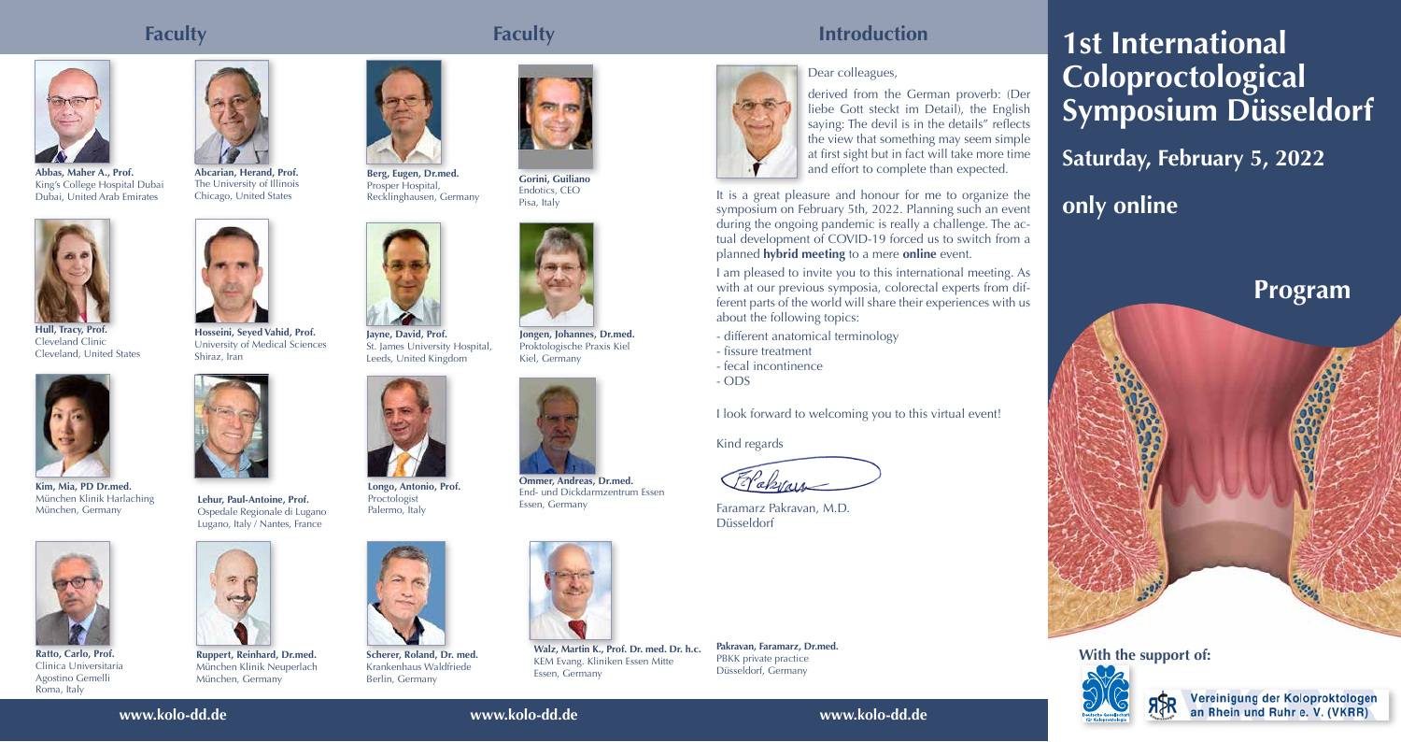**www.kolo-dd.de www.kolo-dd.de www.kolo-dd.de**

## **Faculty Faculty Introduction**

# Dear colleagues,

derived from the German proverb: (Der liebe Gott steckt im Detail), the English saying: The devil is in the details" reflects the view that something may seem simple at first sight but in fact will take more time and effort to complete than expected.

It is a great pleasure and honour for me to organize the symposium on February 5th, 2022. Planning such an event during the ongoing pandemic is really a challenge. The actual development of COVID-19 forced us to switch from a planned **hybrid meeting** to a mere **online** event.



**Longo, Antonio, Prof.** Proctologist Palermo, Italy

I am pleased to invite you to this international meeting. As with at our previous symposia, colorectal experts from different parts of the world will share their experiences with us about the following topics:

- different anatomical terminology
- fissure treatment
- fecal incontinence
- ODS

I look forward to welcoming you to this virtual event!

Kind regards

<u>El akvais</u>

Faramarz Pakravan, M.D. Düsseldorf

**With the support of:**



Vereinigung der Koloproktologen an Rhein und Ruhr e. V. (VKRR)



**Abbas, Maher A., Prof.** King's College Hospital Dubai Dubai, United Arab Emirates



**Berg, Eugen, Dr.med.** Prosper Hospital, Recklinghausen, Germany



**Hosseini, Seyed Vahid, Prof.** University of Medical Sciences Shiraz, Iran



**Jayne, David, Prof.** St. James University Hospital, Leeds, United Kingdom



**Kim, Mia, PD Dr.med.** München Klinik Harlaching München, Germany



**Ratto, Carlo, Prof.** Clinica Universitaria Agostino Gemelli Roma, Italy



**Scherer, Roland, Dr. med.** Krankenhaus Waldfriede Berlin, Germany



**Abcarian, Herand, Prof.** The University of Illinois Chicago, United States



**Lehur, Paul-Antoine, Prof.** Ospedale Regionale di Lugano Lugano, Italy / Nantes, France



**Gorini, Guiliano** Endotics, CEO Pisa, Italy





**Hull, Tracy, Prof.** Cleveland Clinic Cleveland, United States



**Ruppert, Reinhard, Dr.med.** München Klinik Neuperlach München, Germany



**Jongen, Johannes, Dr.med.** Proktologische Praxis Kiel Kiel, Germany

# **1st International Coloproctological Symposium Düsseldorf Saturday, February 5, 2022 only online**







## **Program**





**Ommer, Andreas, Dr.med.** End- und Dickdarmzentrum Essen Essen, Germany



**Walz, Martin K., Prof. Dr. med. Dr. h.c.** KEM Evang. Kliniken Essen Mitte Essen, Germany